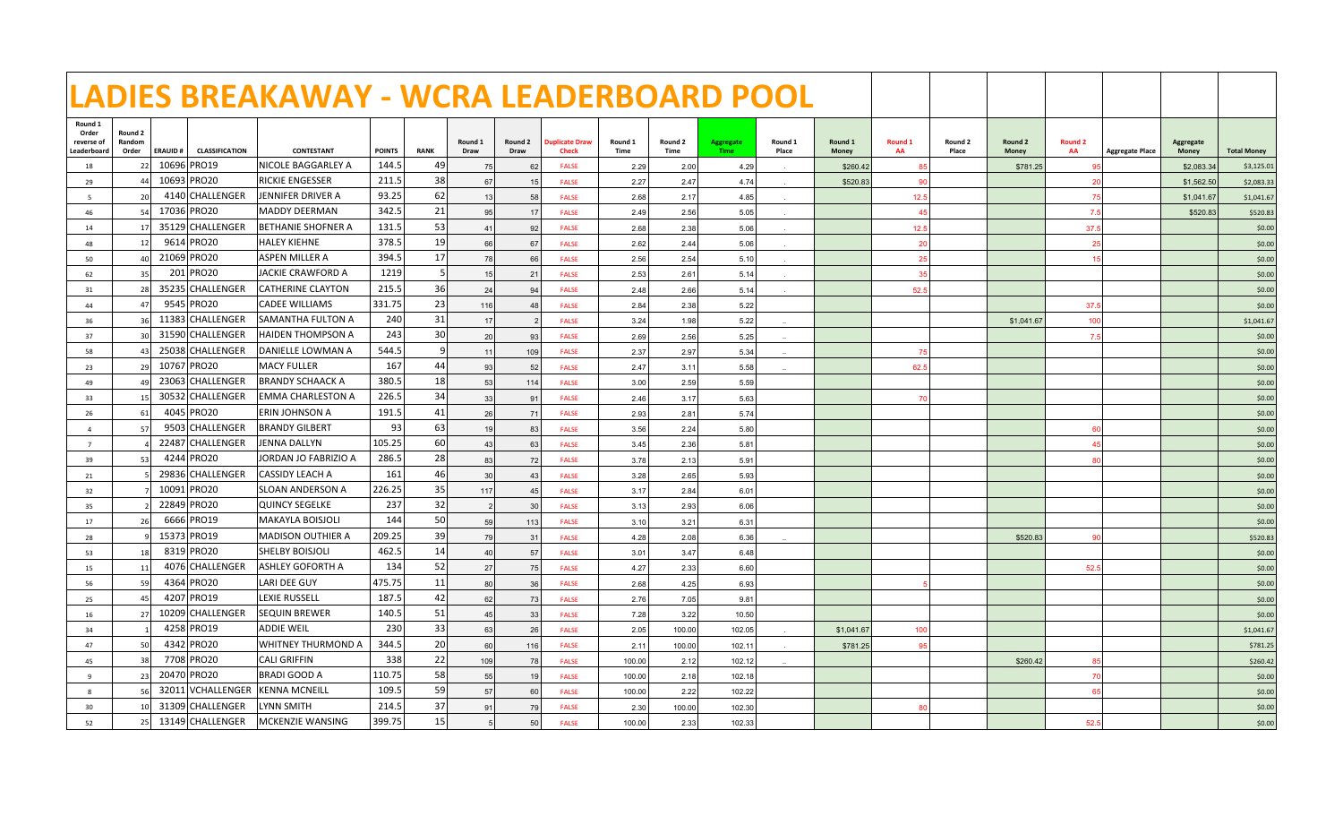|                                               |                            |                |                       | LADIES BREAKAWAY - WCRA LEADERBOARD POOL |               |             |                 |                 |                                |                 |                 |                                 |                  |                  |                       |                  |                  |                      |                        |                           |                    |
|-----------------------------------------------|----------------------------|----------------|-----------------------|------------------------------------------|---------------|-------------|-----------------|-----------------|--------------------------------|-----------------|-----------------|---------------------------------|------------------|------------------|-----------------------|------------------|------------------|----------------------|------------------------|---------------------------|--------------------|
| Round 1<br>Order<br>reverse of<br>Leaderboard | Round 2<br>Random<br>Order | <b>ERAUID#</b> | <b>CLASSIFICATION</b> | CONTESTANT                               | <b>POINTS</b> | <b>RANK</b> | Round 1<br>Draw | Round 2<br>Draw | <b>Duplicate Draw</b><br>Check | Round 1<br>Time | Round 2<br>Time | <b>Aggregate</b><br><b>Time</b> | Round 1<br>Place | Round 1<br>Money | Round 1<br>AA         | Round 2<br>Place | Round 2<br>Money | <b>Round 2</b><br>AA | <b>Aggregate Place</b> | <b>Aggregate</b><br>Money | <b>Total Money</b> |
| 18                                            | 22                         |                | 10696 PRO19           | NICOLE BAGGARLEY A                       | 144.5         | 49          | 75              | 62              | <b>FALSE</b>                   | 2.29            | 2.00            | 4.29                            |                  | \$260.42         | 85                    |                  | \$781.25         | 95                   |                        | \$2,083.34                | \$3,125.01         |
| 29                                            | 44                         |                | 10693 PRO20           | <b>RICKIE ENGESSER</b>                   | 211.5         | 38          | 67              | 15              | <b>FALSE</b>                   | 2.27            | 2.47            | 4.74                            |                  | \$520.83         | 90                    |                  |                  | 20                   |                        | \$1,562.50                | \$2,083.33         |
| -5                                            | <b>20</b>                  |                | 4140 CHALLENGER       | JENNIFER DRIVER A                        | 93.25         | 62          | 13              | 58              | <b>FALSE</b>                   | 2.68            | 2.17            | 4.85                            |                  |                  | 12.5                  |                  |                  | 75                   |                        | \$1,041.67                | \$1,041.67         |
| 46                                            | 54                         |                | 17036 PRO20           | MADDY DEERMAN                            | 342.5         | 21          | 95              | 17              | <b>FALSE</b>                   | 2.49            | 2.56            | 5.05                            |                  |                  | $\Delta$ <sup>E</sup> |                  |                  | 7.5                  |                        | \$520.83                  | \$520.83           |
| 14                                            | 17 <sup>1</sup>            |                | 35129 CHALLENGER      | BETHANIE SHOFNER A                       | 131.5         | 53          | 41              | 92              | <b>FALSE</b>                   | 2.68            | 2.38            | 5.06                            |                  |                  | 12.5                  |                  |                  | 37.5                 |                        |                           | \$0.00             |
| 48                                            | 12                         |                | 9614 PRO20            | <b>HALEY KIEHNE</b>                      | 378.5         | 19          | 66              | 67              | <b>FALSE</b>                   | 2.62            | 2.44            | 5.06                            |                  |                  | 20                    |                  |                  | 25                   |                        |                           | \$0.00             |
| 50                                            | 40 <sup>1</sup>            |                | 21069 PRO20           | ASPEN MILLER A                           | 394.5         | 17          | 78              | 66              | <b>FALSE</b>                   | 2.56            | 2.54            | 5.10                            |                  |                  | 25                    |                  |                  | 15                   |                        |                           | \$0.00             |
| 62                                            | 35                         |                | 201 PRO20             | <b>JACKIE CRAWFORD A</b>                 | 1219          | 5           | 15              | 21              | <b>FALSE</b>                   | 2.53            | 2.61            | 5.14                            |                  |                  | 35                    |                  |                  |                      |                        |                           | \$0.00             |
| 31                                            | 28                         |                | 35235 CHALLENGER      | <b>CATHERINE CLAYTON</b>                 | 215.5         | 36          | 24              | 94              | <b>FALSE</b>                   | 2.48            | 2.66            | 5.14                            |                  |                  | 52.5                  |                  |                  |                      |                        |                           | \$0.00             |
| 44                                            | 47                         |                | 9545 PRO20            | <b>CADEE WILLIAMS</b>                    | 331.75        | 23          | 116             | 48              | <b>FALSE</b>                   | 2.84            | 2.38            | 5.22                            |                  |                  |                       |                  |                  | 37.5                 |                        |                           | \$0.00             |
| 36                                            | 36                         |                | 11383 CHALLENGER      | lSAMANTHA FULTON A                       | 240           | 31          | 17              | $\mathcal{P}$   | <b>FALSE</b>                   | 3.24            | 1.98            | 5.22                            |                  |                  |                       |                  | \$1,041.67       | 100                  |                        |                           | \$1,041.67         |
| 37                                            | 30 <sup>1</sup>            |                | 31590 CHALLENGER      | HAIDEN THOMPSON A                        | 243           | 30          | 20              | 93              | <b>FALSE</b>                   | 2.69            | 2.56            | 5.25                            |                  |                  |                       |                  |                  | 7.5                  |                        |                           | \$0.00             |
| 58                                            | 43                         |                | 25038 CHALLENGER      | DANIELLE LOWMAN A                        | 544.5         | 9           | 11              | 109             | <b>FALSE</b>                   | 2.37            | 2.97            | 5.34                            |                  |                  | 75                    |                  |                  |                      |                        |                           | \$0.00             |
| 23                                            | 29                         |                | 10767 PRO20           | <b>MACY FULLER</b>                       | 167           | 44          | 93              | 52              | <b>FALSE</b>                   | 2.47            | 3.11            | 5.58                            |                  |                  | 62.5                  |                  |                  |                      |                        |                           | \$0.00             |
| 49                                            | 49                         |                | 23063 CHALLENGER      | BRANDY SCHAACK A                         | 380.5         | 18          | 53              | 114             | <b>FALSE</b>                   | 3.00            | 2.59            | 5.59                            |                  |                  |                       |                  |                  |                      |                        |                           | \$0.00             |
| 33                                            | 15                         |                | 30532 CHALLENGER      | EMMA CHARLESTON A                        | 226.5         | 34          | 33              | 91              | <b>FALSE</b>                   | 2.46            | 3.17            | 5.63                            |                  |                  |                       |                  |                  |                      |                        |                           | \$0.00             |
| 26                                            | 61                         |                | 4045 PRO20            | ERIN JOHNSON A                           | 191.5         | 41          | 26              | 71              | <b>FALSE</b>                   | 2.93            | 2.81            | 5.74                            |                  |                  |                       |                  |                  |                      |                        |                           | \$0.00             |
| $\Delta$                                      | 57                         |                | 9503 CHALLENGER       | <b>BRANDY GILBERT</b>                    | 93            | 63          | 19              | 83              | <b>FALSE</b>                   | 3.56            | 2.24            | 5.80                            |                  |                  |                       |                  |                  | 60                   |                        |                           | \$0.00             |
| $\overline{7}$                                |                            |                | 22487 CHALLENGER      | <b>JENNA DALLYN</b>                      | 105.25        | 60          | 43              | 63              | <b>FALSE</b>                   | 3.45            | 2.36            | 5.81                            |                  |                  |                       |                  |                  | 45                   |                        |                           | \$0.00             |
| 39                                            | 53                         |                | 4244 PRO20            | JORDAN JO FABRIZIO A                     | 286.5         | 28          | 83              | 72              | <b>FALSE</b>                   | 3.78            | 2.13            | 5.91                            |                  |                  |                       |                  |                  | 80                   |                        |                           | \$0.00             |
| 21                                            |                            |                | 29836 CHALLENGER      | CASSIDY LEACH A                          | 161           | 46          | 30              | 43              | <b>FALSE</b>                   | 3.28            | 2.65            | 5.93                            |                  |                  |                       |                  |                  |                      |                        |                           | \$0.00             |
| 32                                            |                            |                | 10091 PRO20           | SLOAN ANDERSON A                         | 226.25        | 35          | 117             | 45              | <b>FALSE</b>                   | 3.17            | 2.84            | 6.01                            |                  |                  |                       |                  |                  |                      |                        |                           | \$0.00             |
| 35                                            |                            |                | 22849 PRO20           | QUINCY SEGELKE                           | 237           | 32          | $\overline{2}$  | 30              | <b>FALSE</b>                   | 3.13            | 2.93            | 6.06                            |                  |                  |                       |                  |                  |                      |                        |                           | \$0.00             |
| 17                                            | 26                         |                | 6666 PRO19            | MAKAYLA BOISJOLI                         | 144           | 50          | 59              | 113             | <b>FALSE</b>                   | 3.10            | 3.21            | 6.31                            |                  |                  |                       |                  |                  |                      |                        |                           | \$0.00             |
| 28                                            |                            |                | 15373 PRO19           | MADISON OUTHIER A                        | 209.25        | 39          | 79              | 31              | <b>FALSE</b>                   | 4.28            | 2.08            | 6.36                            |                  |                  |                       |                  | \$520.83         | 90                   |                        |                           | \$520.83           |
| 53                                            | <b>18</b>                  |                | 8319 PRO20            | SHELBY BOISJOLI                          | 462.5         | 14          | 40              | 57              | <b>FALSE</b>                   | 3.01            | 3.47            | 6.48                            |                  |                  |                       |                  |                  |                      |                        |                           | \$0.00             |
| 15                                            | 11                         |                | 4076 CHALLENGER       | ASHLEY GOFORTH A                         | 134           | 52          | 27              | 75              | <b>FALSE</b>                   | 4.27            | 2.33            | 6.60                            |                  |                  |                       |                  |                  | 52.5                 |                        |                           | \$0.00             |
| 56                                            | 59                         |                | 4364 PRO20            | LARI DEE GUY                             | 475.75        | 11          | 80              | 36              | <b>FALSE</b>                   | 2.68            | 4.25            | 6.93                            |                  |                  |                       |                  |                  |                      |                        |                           | \$0.00             |
| 25                                            | 45                         |                | 4207 PRO19            | <b>LEXIE RUSSELL</b>                     | 187.5         | 42          | 62              | 73              | <b>FALSE</b>                   | 2.76            | 7.05            | 9.81                            |                  |                  |                       |                  |                  |                      |                        |                           | \$0.00             |
| 16                                            | 27                         |                | 10209 CHALLENGER      | <b>SEQUIN BREWER</b>                     | 140.5         | 51          | 45              | 33              | <b>FALSE</b>                   | 7.28            | 3.22            | 10.50                           |                  |                  |                       |                  |                  |                      |                        |                           | \$0.00             |
| 34                                            |                            |                | 4258 PRO19            | ADDIE WEIL                               | 230           | 33          | 63              | 26              | <b>FALSE</b>                   | 2.05            | 100.00          | 102.05                          |                  | \$1,041.67       | 100                   |                  |                  |                      |                        |                           | \$1,041.67         |
| 47                                            | 50                         |                | 4342 PRO20            | WHITNEY THURMOND A                       | 344.5         | 20          | 60              | 116             | <b>FALSE</b>                   | 2.11            | 100.00          | 102.11                          |                  | \$781.25         | 9 <sub>5</sub>        |                  |                  |                      |                        |                           | \$781.25           |
| 45                                            | 38                         |                | 7708 PRO20            | CALI GRIFFIN                             | 338           | 22          | 109             | 78              | <b>FALSE</b>                   | 100.00          | 2.12            | 102.12                          |                  |                  |                       |                  | \$260.42         | 85                   |                        |                           | \$260.42           |
| $\mathbf{q}$                                  | 23                         |                | 20470 PRO20           | <b>BRADI GOOD A</b>                      | 110.75        | 58          | 55              | 19 <sup>1</sup> | <b>FALSE</b>                   | 100.00          | 2.18            | 102.18                          |                  |                  |                       |                  |                  | 70                   |                        |                           | \$0.00             |
| $\mathbf{R}$                                  | 56                         |                | 32011 VCHALLENGER     | KENNA MCNEILL                            | 109.5         | 59          | 57              | 60              | <b>FALSE</b>                   | 100.00          | 2.22            | 102.22                          |                  |                  |                       |                  |                  | 65                   |                        |                           | \$0.00             |
| 30                                            | 10 <sup>1</sup>            |                | 31309 CHALLENGER      | LYNN SMITH                               | 214.5         | 37          | 91              | 79              | <b>FALSE</b>                   | 2.30            | 100.00          | 102.30                          |                  |                  | 80                    |                  |                  |                      |                        |                           | \$0.00             |
| 52                                            | 25                         |                | 13149 CHALLENGER      | MCKENZIE WANSING                         | 399.75        | 15          |                 | 50              | <b>FALSE</b>                   | 100.00          | 2.33            | 102.33                          |                  |                  |                       |                  |                  | 52.5                 |                        |                           | \$0.00             |